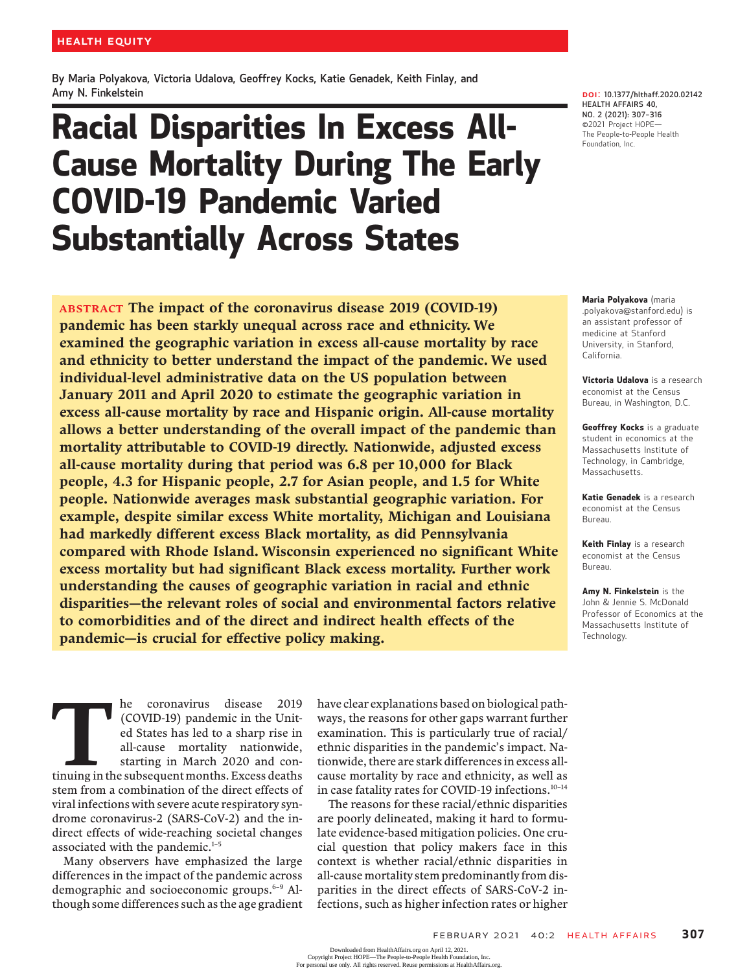By Maria Polyakova, Victoria Udalova, Geoffrey Kocks, Katie Genadek, Keith Finlay, and Amy N. Finkelstein

# Racial Disparities In Excess All-Cause Mortality During The Early COVID-19 Pandemic Varied Substantially Across States

ABSTRACT The impact of the coronavirus disease 2019 (COVID-19) pandemic has been starkly unequal across race and ethnicity. We examined the geographic variation in excess all-cause mortality by race and ethnicity to better understand the impact of the pandemic. We used individual-level administrative data on the US population between January 2011 and April 2020 to estimate the geographic variation in excess all-cause mortality by race and Hispanic origin. All-cause mortality allows a better understanding of the overall impact of the pandemic than mortality attributable to COVID-19 directly. Nationwide, adjusted excess all-cause mortality during that period was 6.8 per 10,000 for Black people, 4.3 for Hispanic people, 2.7 for Asian people, and 1.5 for White people. Nationwide averages mask substantial geographic variation. For example, despite similar excess White mortality, Michigan and Louisiana had markedly different excess Black mortality, as did Pennsylvania compared with Rhode Island. Wisconsin experienced no significant White excess mortality but had significant Black excess mortality. Further work understanding the causes of geographic variation in racial and ethnic disparities—the relevant roles of social and environmental factors relative to comorbidities and of the direct and indirect health effects of the pandemic—is crucial for effective policy making.

DOI: 10.1377/hlthaff.2020.02142 HEALTH AFFAIRS 40, NO. 2 (2021): 307–<sup>316</sup> ©2021 Project HOPE— The People-to-People Health Foundation, Inc.

Maria Polyakova (maria .polyakova@stanford.edu) is an assistant professor of medicine at Stanford University, in Stanford, California.

Victoria Udalova is a research economist at the Census Bureau, in Washington, D.C.

Geoffrey Kocks is a graduate student in economics at the Massachusetts Institute of Technology, in Cambridge, Massachusetts.

Katie Genadek is a research economist at the Census Bureau.

Keith Finlay is a research economist at the Census Bureau.

Amy N. Finkelstein is the John & Jennie S. McDonald Professor of Economics at the Massachusetts Institute of Technology.

The coronavirus disease 2019<br>
(COVID-19) pandemic in the Unit-<br>
ed States has led to a sharp rise in<br>
all-cause mortality nationwide,<br>
starting in March 2020 and con-<br>
tinuing in the subsequent months. Excess deaths (COVID-19) pandemic in the United States has led to a sharp rise in all-cause mortality nationwide, starting in March 2020 and constem from a combination of the direct effects of viral infections with severe acute respiratory syndrome coronavirus-2 (SARS-CoV-2) and the indirect effects of wide-reaching societal changes associated with the pandemic.<sup>1-5</sup>

Many observers have emphasized the large differences in the impact of the pandemic across demographic and socioeconomic groups.<sup>6-9</sup> Although some differences such as the age gradient

have clear explanations based on biological pathways, the reasons for other gaps warrant further examination. This is particularly true of racial/ ethnic disparities in the pandemic's impact. Nationwide, there are stark differences in excess allcause mortality by race and ethnicity, as well as in case fatality rates for COVID-19 infections.<sup>10-14</sup>

The reasons for these racial/ethnic disparities are poorly delineated, making it hard to formulate evidence-based mitigation policies. One crucial question that policy makers face in this context is whether racial/ethnic disparities in all-cause mortality stem predominantly from disparities in the direct effects of SARS-CoV-2 infections, such as higher infection rates or higher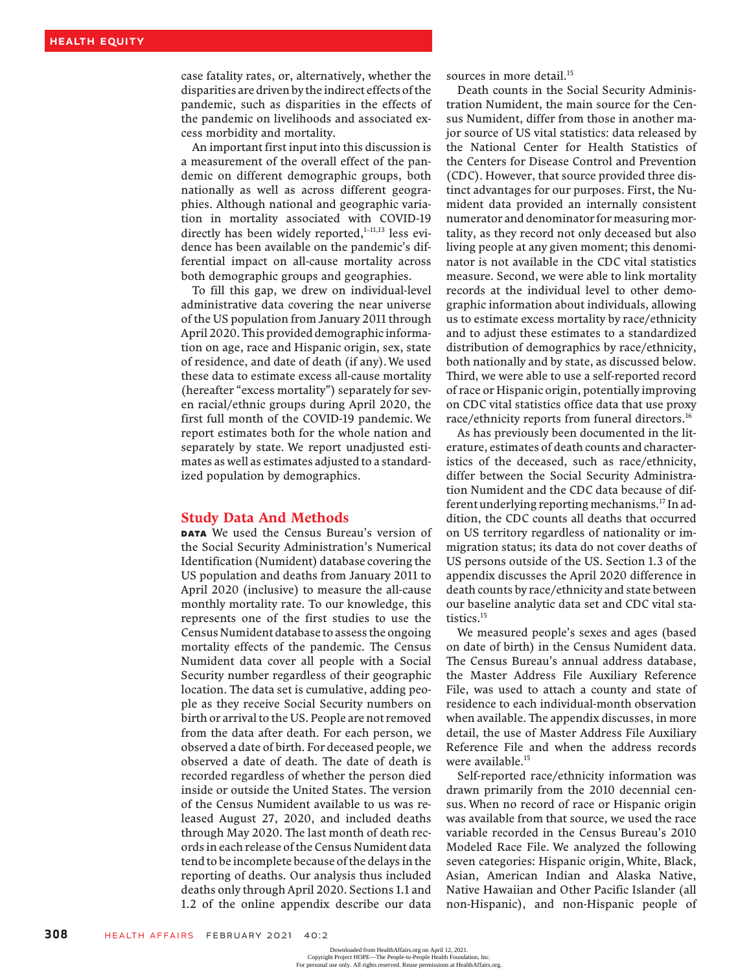case fatality rates, or, alternatively, whether the disparities are driven by the indirect effects of the pandemic, such as disparities in the effects of the pandemic on livelihoods and associated excess morbidity and mortality.

An important first input into this discussion is a measurement of the overall effect of the pandemic on different demographic groups, both nationally as well as across different geographies. Although national and geographic variation in mortality associated with COVID-19 directly has been widely reported, $1-11,13$  less evidence has been available on the pandemic's differential impact on all-cause mortality across both demographic groups and geographies.

To fill this gap, we drew on individual-level administrative data covering the near universe of the US population from January 2011 through April 2020. This provided demographic information on age, race and Hispanic origin, sex, state of residence, and date of death (if any).We used these data to estimate excess all-cause mortality (hereafter "excess mortality") separately for seven racial/ethnic groups during April 2020, the first full month of the COVID-19 pandemic. We report estimates both for the whole nation and separately by state. We report unadjusted estimates as well as estimates adjusted to a standardized population by demographics.

#### Study Data And Methods

**DATA** We used the Census Bureau's version of the Social Security Administration's Numerical Identification (Numident) database covering the US population and deaths from January 2011 to April 2020 (inclusive) to measure the all-cause monthly mortality rate. To our knowledge, this represents one of the first studies to use the Census Numident database to assess the ongoing mortality effects of the pandemic. The Census Numident data cover all people with a Social Security number regardless of their geographic location. The data set is cumulative, adding people as they receive Social Security numbers on birth or arrival to the US. People are not removed from the data after death. For each person, we observed a date of birth. For deceased people, we observed a date of death. The date of death is recorded regardless of whether the person died inside or outside the United States. The version of the Census Numident available to us was released August 27, 2020, and included deaths through May 2020. The last month of death records in each release of the Census Numident data tend to be incomplete because of the delays in the reporting of deaths. Our analysis thus included deaths only through April 2020. Sections 1.1 and 1.2 of the online appendix describe our data

sources in more detail.<sup>15</sup>

Death counts in the Social Security Administration Numident, the main source for the Census Numident, differ from those in another major source of US vital statistics: data released by the National Center for Health Statistics of the Centers for Disease Control and Prevention (CDC). However, that source provided three distinct advantages for our purposes. First, the Numident data provided an internally consistent numerator and denominator for measuring mortality, as they record not only deceased but also living people at any given moment; this denominator is not available in the CDC vital statistics measure. Second, we were able to link mortality records at the individual level to other demographic information about individuals, allowing us to estimate excess mortality by race/ethnicity and to adjust these estimates to a standardized distribution of demographics by race/ethnicity, both nationally and by state, as discussed below. Third, we were able to use a self-reported record of race or Hispanic origin, potentially improving on CDC vital statistics office data that use proxy race/ethnicity reports from funeral directors.<sup>16</sup>

As has previously been documented in the literature, estimates of death counts and characteristics of the deceased, such as race/ethnicity, differ between the Social Security Administration Numident and the CDC data because of different underlying reporting mechanisms.17 In addition, the CDC counts all deaths that occurred on US territory regardless of nationality or immigration status; its data do not cover deaths of US persons outside of the US. Section 1.3 of the appendix discusses the April 2020 difference in death counts by race/ethnicity and state between our baseline analytic data set and CDC vital statistics.<sup>15</sup>

We measured people's sexes and ages (based on date of birth) in the Census Numident data. The Census Bureau's annual address database, the Master Address File Auxiliary Reference File, was used to attach a county and state of residence to each individual-month observation when available. The appendix discusses, in more detail, the use of Master Address File Auxiliary Reference File and when the address records were available.<sup>15</sup>

Self-reported race/ethnicity information was drawn primarily from the 2010 decennial census. When no record of race or Hispanic origin was available from that source, we used the race variable recorded in the Census Bureau's 2010 Modeled Race File. We analyzed the following seven categories: Hispanic origin, White, Black, Asian, American Indian and Alaska Native, Native Hawaiian and Other Pacific Islander (all non-Hispanic), and non-Hispanic people of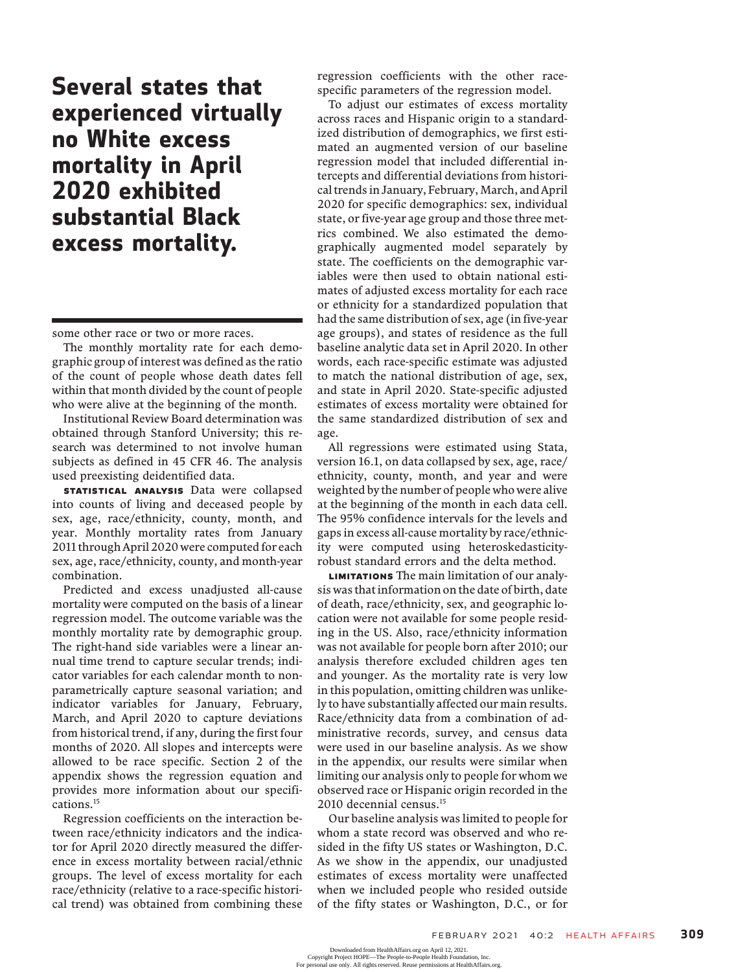## Several states that experienced virtually no White excess mortality in April 2020 exhibited substantial Black excess mortality.

some other race or two or more races.

The monthly mortality rate for each demographic group of interest was defined as the ratio of the count of people whose death dates fell within that month divided by the count of people who were alive at the beginning of the month.

Institutional Review Board determination was obtained through Stanford University; this research was determined to not involve human subjects as defined in 45 CFR 46. The analysis used preexisting deidentified data.

STATISTICAL ANALYSIS Data were collapsed into counts of living and deceased people by sex, age, race/ethnicity, county, month, and year. Monthly mortality rates from January 2011 through April 2020 were computed for each sex, age, race/ethnicity, county, and month-year combination.

Predicted and excess unadjusted all-cause mortality were computed on the basis of a linear regression model. The outcome variable was the monthly mortality rate by demographic group. The right-hand side variables were a linear annual time trend to capture secular trends; indicator variables for each calendar month to nonparametrically capture seasonal variation; and indicator variables for January, February, March, and April 2020 to capture deviations from historical trend, if any, during the first four months of 2020. All slopes and intercepts were allowed to be race specific. Section 2 of the appendix shows the regression equation and provides more information about our specifications.15

Regression coefficients on the interaction between race/ethnicity indicators and the indicator for April 2020 directly measured the difference in excess mortality between racial/ethnic groups. The level of excess mortality for each race/ethnicity (relative to a race-specific historical trend) was obtained from combining these

regression coefficients with the other racespecific parameters of the regression model.

To adjust our estimates of excess mortality across races and Hispanic origin to a standardized distribution of demographics, we first estimated an augmented version of our baseline regression model that included differential intercepts and differential deviations from historical trends in January, February, March, and April 2020 for specific demographics: sex, individual state, or five-year age group and those three metrics combined. We also estimated the demographically augmented model separately by state. The coefficients on the demographic variables were then used to obtain national estimates of adjusted excess mortality for each race or ethnicity for a standardized population that had the same distribution of sex, age (in five-year age groups), and states of residence as the full baseline analytic data set in April 2020. In other words, each race-specific estimate was adjusted to match the national distribution of age, sex, and state in April 2020. State-specific adjusted estimates of excess mortality were obtained for the same standardized distribution of sex and age.

All regressions were estimated using Stata, version 16.1, on data collapsed by sex, age, race/ ethnicity, county, month, and year and were weighted by the number of people who were alive at the beginning of the month in each data cell. The 95% confidence intervals for the levels and gaps in excess all-cause mortality by race/ethnicity were computed using heteroskedasticityrobust standard errors and the delta method.

Limitations The main limitation of our analysis was that information on the date of birth, date of death, race/ethnicity, sex, and geographic location were not available for some people residing in the US. Also, race/ethnicity information was not available for people born after 2010; our analysis therefore excluded children ages ten and younger. As the mortality rate is very low in this population, omitting children was unlikely to have substantially affected our main results. Race/ethnicity data from a combination of administrative records, survey, and census data were used in our baseline analysis. As we show in the appendix, our results were similar when limiting our analysis only to people for whom we observed race or Hispanic origin recorded in the 2010 decennial census.<sup>15</sup>

Our baseline analysis was limited to people for whom a state record was observed and who resided in the fifty US states or Washington, D.C. As we show in the appendix, our unadjusted estimates of excess mortality were unaffected when we included people who resided outside of the fifty states or Washington, D.C., or for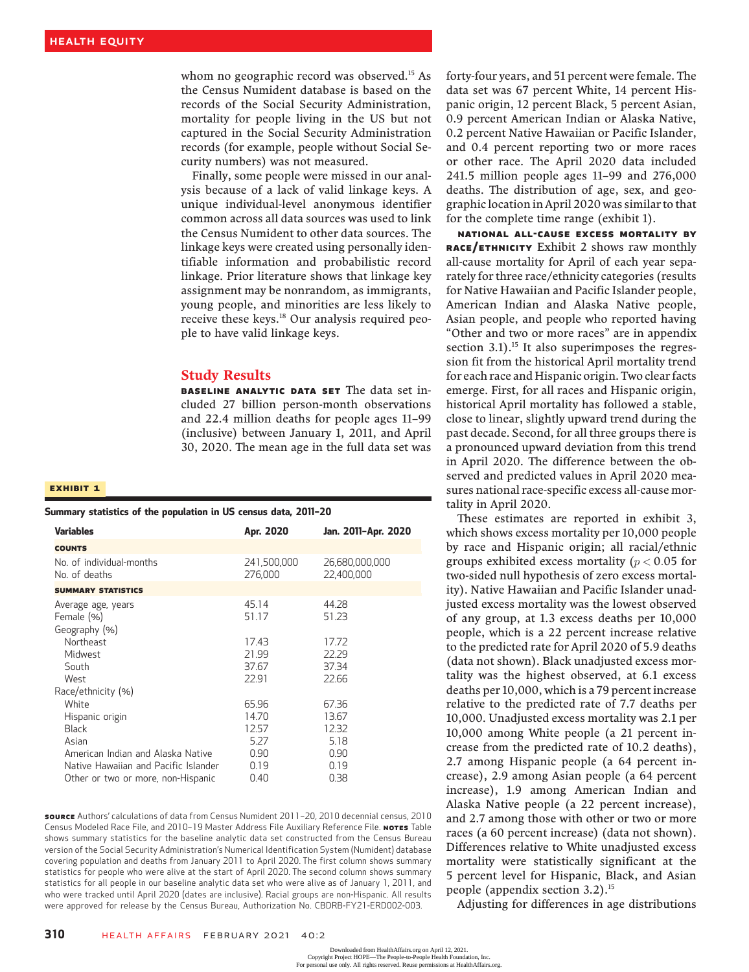whom no geographic record was observed.<sup>15</sup> As the Census Numident database is based on the records of the Social Security Administration, mortality for people living in the US but not captured in the Social Security Administration records (for example, people without Social Security numbers) was not measured.

Finally, some people were missed in our analysis because of a lack of valid linkage keys. A unique individual-level anonymous identifier common across all data sources was used to link the Census Numident to other data sources. The linkage keys were created using personally identifiable information and probabilistic record linkage. Prior literature shows that linkage key assignment may be nonrandom, as immigrants, young people, and minorities are less likely to receive these keys.18 Our analysis required people to have valid linkage keys.

#### Study Results

**BASELINE ANALYTIC DATA SET** The data set included 27 billion person-month observations and 22.4 million deaths for people ages 11–99 (inclusive) between January 1, 2011, and April 30, 2020. The mean age in the full data set was

#### Exhibit 1

## Summary statistics of the population in US census data, 2011–<sup>20</sup>

| Jan. 2011-Apr. 2020 |
|---------------------|
|                     |
| 26,680,000,000      |
|                     |
|                     |
|                     |
|                     |
|                     |
|                     |
|                     |

SOURCE Authors' calculations of data from Census Numident 2011–20, 2010 decennial census, 2010 Census Modeled Race File, and 2010-19 Master Address File Auxiliary Reference File. NOTES Table shows summary statistics for the baseline analytic data set constructed from the Census Bureau version of the Social Security Administration's Numerical Identification System (Numident) database covering population and deaths from January 2011 to April 2020. The first column shows summary statistics for people who were alive at the start of April 2020. The second column shows summary statistics for all people in our baseline analytic data set who were alive as of January 1, 2011, and who were tracked until April 2020 (dates are inclusive). Racial groups are non-Hispanic. All results were approved for release by the Census Bureau, Authorization No. CBDRB-FY21-ERD002-003.

forty-four years, and 51 percent were female. The data set was 67 percent White, 14 percent Hispanic origin, 12 percent Black, 5 percent Asian, 0.9 percent American Indian or Alaska Native, 0.2 percent Native Hawaiian or Pacific Islander, and 0.4 percent reporting two or more races or other race. The April 2020 data included 241.5 million people ages 11–99 and 276,000 deaths. The distribution of age, sex, and geographic location in April 2020 was similar to that for the complete time range (exhibit 1).

National All-Cause Excess Mortality By RACE/ETHNICITY Exhibit 2 shows raw monthly all-cause mortality for April of each year separately for three race/ethnicity categories (results for Native Hawaiian and Pacific Islander people, American Indian and Alaska Native people, Asian people, and people who reported having "Other and two or more races" are in appendix section 3.1).<sup>15</sup> It also superimposes the regression fit from the historical April mortality trend for each race and Hispanic origin. Two clear facts emerge. First, for all races and Hispanic origin, historical April mortality has followed a stable, close to linear, slightly upward trend during the past decade. Second, for all three groups there is a pronounced upward deviation from this trend in April 2020. The difference between the observed and predicted values in April 2020 measures national race-specific excess all-cause mortality in April 2020.

These estimates are reported in exhibit 3, which shows excess mortality per 10,000 people by race and Hispanic origin; all racial/ethnic groups exhibited excess mortality ( $p < 0.05$  for two-sided null hypothesis of zero excess mortality). Native Hawaiian and Pacific Islander unadjusted excess mortality was the lowest observed of any group, at 1.3 excess deaths per 10,000 people, which is a 22 percent increase relative to the predicted rate for April 2020 of 5.9 deaths (data not shown). Black unadjusted excess mortality was the highest observed, at 6.1 excess deaths per 10,000, which is a 79 percent increase relative to the predicted rate of 7.7 deaths per 10,000. Unadjusted excess mortality was 2.1 per 10,000 among White people (a 21 percent increase from the predicted rate of 10.2 deaths), 2.7 among Hispanic people (a 64 percent increase), 2.9 among Asian people (a 64 percent increase), 1.9 among American Indian and Alaska Native people (a 22 percent increase), and 2.7 among those with other or two or more races (a 60 percent increase) (data not shown). Differences relative to White unadjusted excess mortality were statistically significant at the 5 percent level for Hispanic, Black, and Asian people (appendix section  $3.2$ ).<sup>15</sup>

Adjusting for differences in age distributions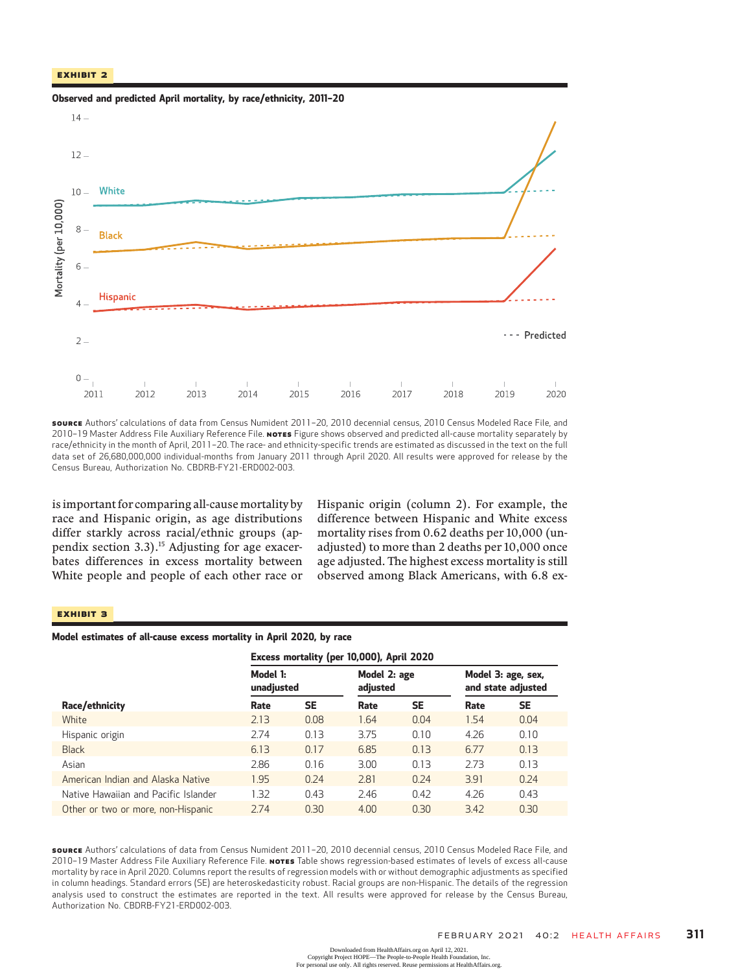#### Exhibit 2



Observed and predicted April mortality, by race/ethnicity, 2011–<sup>20</sup>

source Authors' calculations of data from Census Numident 2011-20, 2010 decennial census, 2010 Census Modeled Race File, and 2010-19 Master Address File Auxiliary Reference File. NoTES Figure shows observed and predicted all-cause mortality separately by race/ethnicity in the month of April, 2011–20. The race- and ethnicity-specific trends are estimated as discussed in the text on the full data set of 26,680,000,000 individual-months from January 2011 through April 2020. All results were approved for release by the Census Bureau, Authorization No. CBDRB-FY21-ERD002-003.

is important for comparing all-causemortality by race and Hispanic origin, as age distributions differ starkly across racial/ethnic groups (appendix section 3.3).<sup>15</sup> Adjusting for age exacerbates differences in excess mortality between White people and people of each other race or Hispanic origin (column 2). For example, the difference between Hispanic and White excess mortality rises from 0.62 deaths per 10,000 (unadjusted) to more than 2 deaths per 10,000 once age adjusted. The highest excess mortality is still observed among Black Americans, with 6.8 ex-

#### Exhibit 3

#### Model estimates of all-cause excess mortality in April 2020, by race

|                                      | Excess mortality (per 10,000), April 2020 |           |                          |           |                                          |           |
|--------------------------------------|-------------------------------------------|-----------|--------------------------|-----------|------------------------------------------|-----------|
|                                      | Model 1:<br>unadjusted                    |           | Model 2: age<br>adjusted |           | Model 3: age, sex,<br>and state adjusted |           |
| Race/ethnicity                       | Rate                                      | <b>SE</b> | Rate                     | <b>SE</b> | Rate                                     | <b>SE</b> |
| White                                | 2.13                                      | 0.08      | 1.64                     | 0.04      | 1.54                                     | 0.04      |
| Hispanic origin                      | 2.74                                      | 0.13      | 3.75                     | 0.10      | 4.26                                     | 0.10      |
| <b>Black</b>                         | 6.13                                      | 0.17      | 6.85                     | 0.13      | 6.77                                     | 0.13      |
| Asian                                | 2.86                                      | 0.16      | 3.00                     | 0.13      | 2.73                                     | 0.13      |
| American Indian and Alaska Native    | 1.95                                      | 0.24      | 2.81                     | 0.24      | 3.91                                     | 0.24      |
| Native Hawaiian and Pacific Islander | 1.32                                      | 0.43      | 2.46                     | 0.42      | 4.26                                     | 0.43      |
| Other or two or more, non-Hispanic   | 2.74                                      | 0.30      | 4.00                     | 0.30      | 3.42                                     | 0.30      |

SOURCE Authors' calculations of data from Census Numident 2011–20, 2010 decennial census, 2010 Census Modeled Race File, and 2010-19 Master Address File Auxiliary Reference File. NOTES Table shows regression-based estimates of levels of excess all-cause mortality by race in April 2020. Columns report the results of regression models with or without demographic adjustments as specified in column headings. Standard errors (SE) are heteroskedasticity robust. Racial groups are non-Hispanic. The details of the regression analysis used to construct the estimates are reported in the text. All results were approved for release by the Census Bureau, Authorization No. CBDRB-FY21-ERD002-003.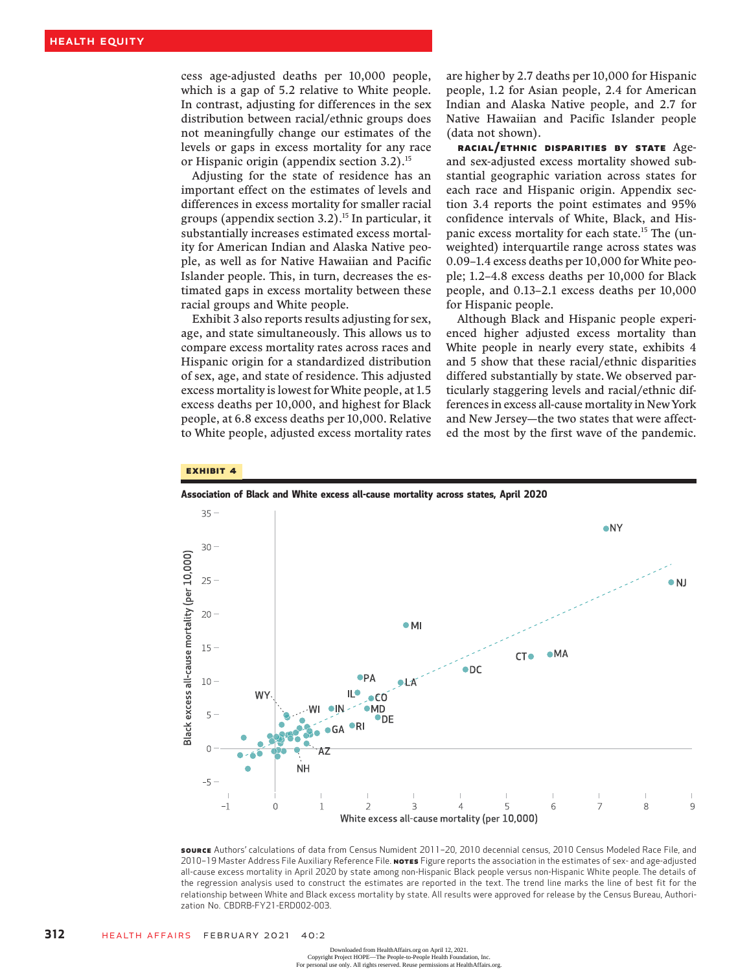cess age-adjusted deaths per 10,000 people, which is a gap of 5.2 relative to White people. In contrast, adjusting for differences in the sex distribution between racial/ethnic groups does not meaningfully change our estimates of the levels or gaps in excess mortality for any race or Hispanic origin (appendix section 3.2).<sup>15</sup>

Adjusting for the state of residence has an important effect on the estimates of levels and differences in excess mortality for smaller racial groups (appendix section 3.2).<sup>15</sup> In particular, it substantially increases estimated excess mortality for American Indian and Alaska Native people, as well as for Native Hawaiian and Pacific Islander people. This, in turn, decreases the estimated gaps in excess mortality between these racial groups and White people.

Exhibit 3 also reports results adjusting for sex, age, and state simultaneously. This allows us to compare excess mortality rates across races and Hispanic origin for a standardized distribution of sex, age, and state of residence. This adjusted excess mortality is lowest for White people, at 1.5 excess deaths per 10,000, and highest for Black people, at 6.8 excess deaths per 10,000. Relative to White people, adjusted excess mortality rates

are higher by 2.7 deaths per 10,000 for Hispanic people, 1.2 for Asian people, 2.4 for American Indian and Alaska Native people, and 2.7 for Native Hawaiian and Pacific Islander people (data not shown).

Racial/Ethnic Disparities By State Ageand sex-adjusted excess mortality showed substantial geographic variation across states for each race and Hispanic origin. Appendix section 3.4 reports the point estimates and 95% confidence intervals of White, Black, and Hispanic excess mortality for each state.<sup>15</sup> The (unweighted) interquartile range across states was 0.09–1.4 excess deaths per 10,000 for White people; 1.2–4.8 excess deaths per 10,000 for Black people, and 0.13–2.1 excess deaths per 10,000 for Hispanic people.

Although Black and Hispanic people experienced higher adjusted excess mortality than White people in nearly every state, exhibits 4 and 5 show that these racial/ethnic disparities differed substantially by state. We observed particularly staggering levels and racial/ethnic differences in excess all-cause mortality in New York and New Jersey—the two states that were affected the most by the first wave of the pandemic.

#### Exhibit 4



Association of Black and White excess all-cause mortality across states, April 2020

source Authors' calculations of data from Census Numident 2011-20, 2010 decennial census, 2010 Census Modeled Race File, and 2010-19 Master Address File Auxiliary Reference File. Nores Figure reports the association in the estimates of sex- and age-adjusted all-cause excess mortality in April 2020 by state among non-Hispanic Black people versus non-Hispanic White people. The details of the regression analysis used to construct the estimates are reported in the text. The trend line marks the line of best fit for the relationship between White and Black excess mortality by state. All results were approved for release by the Census Bureau, Authorization No. CBDRB-FY21-ERD002-003.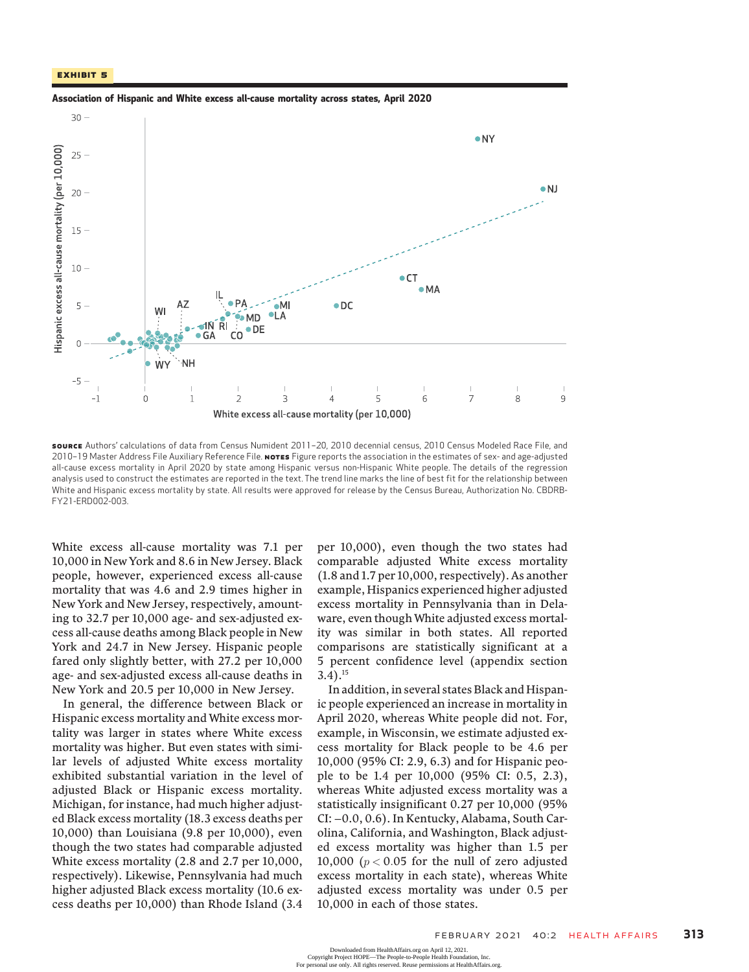



source Authors' calculations of data from Census Numident 2011-20, 2010 decennial census, 2010 Census Modeled Race File, and 2010–19 Master Address File Auxiliary Reference File. NoTES Figure reports the association in the estimates of sex- and age-adjusted all-cause excess mortality in April 2020 by state among Hispanic versus non-Hispanic White people. The details of the regression analysis used to construct the estimates are reported in the text. The trend line marks the line of best fit for the relationship between White and Hispanic excess mortality by state. All results were approved for release by the Census Bureau, Authorization No. CBDRB-FY21-ERD002-003.

White excess all-cause mortality was 7.1 per 10,000 in New York and 8.6 in New Jersey. Black people, however, experienced excess all-cause mortality that was 4.6 and 2.9 times higher in New York and New Jersey, respectively, amounting to 32.7 per 10,000 age- and sex-adjusted excess all-cause deaths among Black people in New York and 24.7 in New Jersey. Hispanic people fared only slightly better, with 27.2 per 10,000 age- and sex-adjusted excess all-cause deaths in New York and 20.5 per 10,000 in New Jersey.

In general, the difference between Black or Hispanic excess mortality and White excess mortality was larger in states where White excess mortality was higher. But even states with similar levels of adjusted White excess mortality exhibited substantial variation in the level of adjusted Black or Hispanic excess mortality. Michigan, for instance, had much higher adjusted Black excess mortality (18.3 excess deaths per 10,000) than Louisiana (9.8 per 10,000), even though the two states had comparable adjusted White excess mortality (2.8 and 2.7 per 10,000, respectively). Likewise, Pennsylvania had much higher adjusted Black excess mortality (10.6 excess deaths per 10,000) than Rhode Island (3.4

per 10,000), even though the two states had comparable adjusted White excess mortality (1.8 and 1.7 per 10,000, respectively). As another example, Hispanics experienced higher adjusted excess mortality in Pennsylvania than in Delaware, even though White adjusted excess mortality was similar in both states. All reported comparisons are statistically significant at a 5 percent confidence level (appendix section  $3.4$ ).<sup>15</sup>

In addition, in several states Black and Hispanic people experienced an increase in mortality in April 2020, whereas White people did not. For, example, in Wisconsin, we estimate adjusted excess mortality for Black people to be 4.6 per 10,000 (95% CI: 2.9, 6.3) and for Hispanic people to be 1.4 per 10,000 (95% CI: 0.5, 2.3), whereas White adjusted excess mortality was a statistically insignificant 0.27 per 10,000 (95% CI: −0.0, 0.6). In Kentucky, Alabama, South Carolina, California, and Washington, Black adjusted excess mortality was higher than 1.5 per 10,000 ( $p < 0.05$  for the null of zero adjusted excess mortality in each state), whereas White adjusted excess mortality was under 0.5 per 10,000 in each of those states.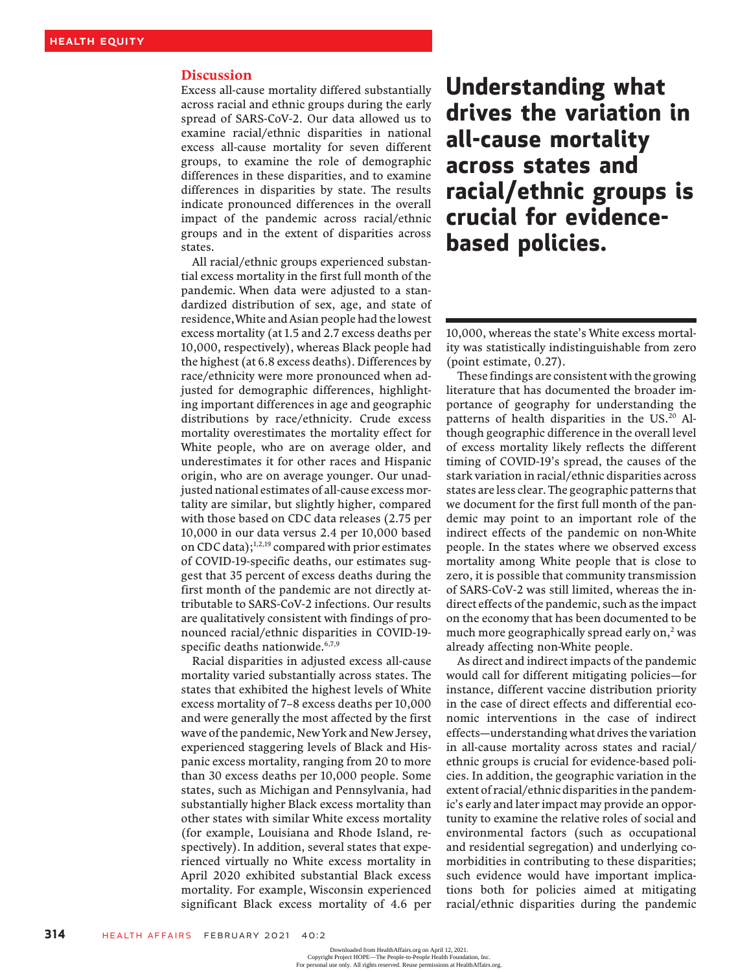#### Discussion

Excess all-cause mortality differed substantially across racial and ethnic groups during the early spread of SARS-CoV-2. Our data allowed us to examine racial/ethnic disparities in national excess all-cause mortality for seven different groups, to examine the role of demographic differences in these disparities, and to examine differences in disparities by state. The results indicate pronounced differences in the overall impact of the pandemic across racial/ethnic groups and in the extent of disparities across states.

All racial/ethnic groups experienced substantial excess mortality in the first full month of the pandemic. When data were adjusted to a standardized distribution of sex, age, and state of residence,White and Asian people had the lowest excess mortality (at 1.5 and 2.7 excess deaths per 10,000, respectively), whereas Black people had the highest (at 6.8 excess deaths). Differences by race/ethnicity were more pronounced when adjusted for demographic differences, highlighting important differences in age and geographic distributions by race/ethnicity. Crude excess mortality overestimates the mortality effect for White people, who are on average older, and underestimates it for other races and Hispanic origin, who are on average younger. Our unadjusted national estimates of all-cause excess mortality are similar, but slightly higher, compared with those based on CDC data releases (2.75 per 10,000 in our data versus 2.4 per 10,000 based on CDC data);<sup>1,2,19</sup> compared with prior estimates of COVID-19-specific deaths, our estimates suggest that 35 percent of excess deaths during the first month of the pandemic are not directly attributable to SARS-CoV-2 infections. Our results are qualitatively consistent with findings of pronounced racial/ethnic disparities in COVID-19 specific deaths nationwide.<sup>6,7,9</sup>

Racial disparities in adjusted excess all-cause mortality varied substantially across states. The states that exhibited the highest levels of White excess mortality of 7–8 excess deaths per 10,000 and were generally the most affected by the first wave of the pandemic, New York and New Jersey, experienced staggering levels of Black and Hispanic excess mortality, ranging from 20 to more than 30 excess deaths per 10,000 people. Some states, such as Michigan and Pennsylvania, had substantially higher Black excess mortality than other states with similar White excess mortality (for example, Louisiana and Rhode Island, respectively). In addition, several states that experienced virtually no White excess mortality in April 2020 exhibited substantial Black excess mortality. For example, Wisconsin experienced significant Black excess mortality of 4.6 per

## Understanding what drives the variation in all-cause mortality across states and racial/ethnic groups is crucial for evidencebased policies.

10,000, whereas the state's White excess mortality was statistically indistinguishable from zero (point estimate, 0.27).

These findings are consistent with the growing literature that has documented the broader importance of geography for understanding the patterns of health disparities in the US.<sup>20</sup> Although geographic difference in the overall level of excess mortality likely reflects the different timing of COVID-19's spread, the causes of the stark variation in racial/ethnic disparities across states are less clear. The geographic patterns that we document for the first full month of the pandemic may point to an important role of the indirect effects of the pandemic on non-White people. In the states where we observed excess mortality among White people that is close to zero, it is possible that community transmission of SARS-CoV-2 was still limited, whereas the indirect effects of the pandemic, such as the impact on the economy that has been documented to be much more geographically spread early on, $<sup>2</sup>$  was</sup> already affecting non-White people.

As direct and indirect impacts of the pandemic would call for different mitigating policies—for instance, different vaccine distribution priority in the case of direct effects and differential economic interventions in the case of indirect effects—understanding what drives the variation in all-cause mortality across states and racial/ ethnic groups is crucial for evidence-based policies. In addition, the geographic variation in the extent of racial/ethnic disparities in the pandemic's early and later impact may provide an opportunity to examine the relative roles of social and environmental factors (such as occupational and residential segregation) and underlying comorbidities in contributing to these disparities; such evidence would have important implications both for policies aimed at mitigating racial/ethnic disparities during the pandemic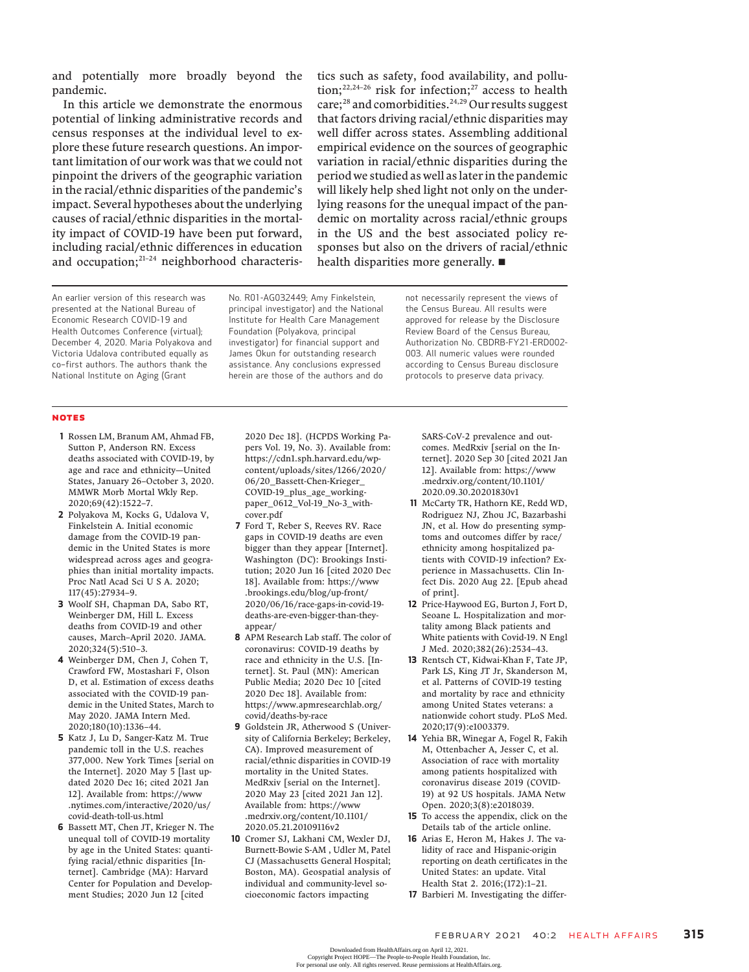and potentially more broadly beyond the pandemic.

In this article we demonstrate the enormous potential of linking administrative records and census responses at the individual level to explore these future research questions. An important limitation of our work was that we could not pinpoint the drivers of the geographic variation in the racial/ethnic disparities of the pandemic's impact. Several hypotheses about the underlying causes of racial/ethnic disparities in the mortality impact of COVID-19 have been put forward, including racial/ethnic differences in education and occupation;<sup>21-24</sup> neighborhood characteristics such as safety, food availability, and pollution;<sup>22,24-26</sup> risk for infection;<sup>27</sup> access to health care;<sup>28</sup> and comorbidities.<sup>24,29</sup> Our results suggest that factors driving racial/ethnic disparities may well differ across states. Assembling additional empirical evidence on the sources of geographic variation in racial/ethnic disparities during the period we studied as well as later in the pandemic will likely help shed light not only on the underlying reasons for the unequal impact of the pandemic on mortality across racial/ethnic groups in the US and the best associated policy responses but also on the drivers of racial/ethnic health disparities more generally.  $\blacksquare$ 

An earlier version of this research was presented at the National Bureau of Economic Research COVID-19 and Health Outcomes Conference (virtual); December 4, 2020. Maria Polyakova and Victoria Udalova contributed equally as co–first authors. The authors thank the National Institute on Aging (Grant

No. R01-AG032449; Amy Finkelstein, principal investigator) and the National Institute for Health Care Management Foundation (Polyakova, principal investigator) for financial support and James Okun for outstanding research assistance. Any conclusions expressed herein are those of the authors and do not necessarily represent the views of the Census Bureau. All results were approved for release by the Disclosure Review Board of the Census Bureau, Authorization No. CBDRB-FY21-ERD002- 003. All numeric values were rounded according to Census Bureau disclosure protocols to preserve data privacy.

#### NOTES

- 1 Rossen LM, Branum AM, Ahmad FB, Sutton P, Anderson RN. Excess deaths associated with COVID-19, by age and race and ethnicity—United States, January 26–October 3, 2020. MMWR Morb Mortal Wkly Rep. 2020;69(42):1522–7.
- 2 Polyakova M, Kocks G, Udalova V, Finkelstein A. Initial economic damage from the COVID-19 pandemic in the United States is more widespread across ages and geographies than initial mortality impacts. Proc Natl Acad Sci U S A. 2020; 117(45):27934–9.
- 3 Woolf SH, Chapman DA, Sabo RT, Weinberger DM, Hill L. Excess deaths from COVID-19 and other causes, March–April 2020. JAMA. 2020;324(5):510–3.
- 4 Weinberger DM, Chen J, Cohen T, Crawford FW, Mostashari F, Olson D, et al. Estimation of excess deaths associated with the COVID-19 pandemic in the United States, March to May 2020. JAMA Intern Med. 2020;180(10):1336–44.
- 5 Katz J, Lu D, Sanger-Katz M. True pandemic toll in the U.S. reaches 377,000. New York Times [serial on the Internet]. 2020 May 5 [last updated 2020 Dec 16; cited 2021 Jan 12]. Available from: https://www .nytimes.com/interactive/2020/us/ covid-death-toll-us.html
- 6 Bassett MT, Chen JT, Krieger N. The unequal toll of COVID-19 mortality by age in the United States: quantifying racial/ethnic disparities [Internet]. Cambridge (MA): Harvard Center for Population and Development Studies; 2020 Jun 12 [cited

2020 Dec 18]. (HCPDS Working Papers Vol. 19, No. 3). Available from: https://cdn1.sph.harvard.edu/wpcontent/uploads/sites/1266/2020/ 06/20\_Bassett-Chen-Krieger\_ COVID-19\_plus\_age\_workingpaper\_0612\_Vol-19\_No-3\_withcover.pdf

- 7 Ford T, Reber S, Reeves RV. Race gaps in COVID-19 deaths are even bigger than they appear [Internet]. Washington (DC): Brookings Institution; 2020 Jun 16 [cited 2020 Dec 18]. Available from: https://www .brookings.edu/blog/up-front/ 2020/06/16/race-gaps-in-covid-19 deaths-are-even-bigger-than-theyappear/
- 8 APM Research Lab staff. The color of coronavirus: COVID-19 deaths by race and ethnicity in the U.S. [Internet]. St. Paul (MN): American Public Media; 2020 Dec 10 [cited 2020 Dec 18]. Available from: https://www.apmresearchlab.org/ covid/deaths-by-race
- 9 Goldstein JR, Atherwood S (University of California Berkeley; Berkeley, CA). Improved measurement of racial/ethnic disparities in COVID-19 mortality in the United States. MedRxiv [serial on the Internet]. 2020 May 23 [cited 2021 Jan 12]. Available from: https://www .medrxiv.org/content/10.1101/ 2020.05.21.20109116v2
- 10 Cromer SJ, Lakhani CM, Wexler DJ, Burnett-Bowie S-AM , Udler M, Patel CJ (Massachusetts General Hospital; Boston, MA). Geospatial analysis of individual and community-level socioeconomic factors impacting

SARS-CoV-2 prevalence and outcomes. MedRxiv [serial on the Internet]. 2020 Sep 30 [cited 2021 Jan 12]. Available from: https://www .medrxiv.org/content/10.1101/ 2020.09.30.20201830v1

- 11 McCarty TR, Hathorn KE, Redd WD, Rodriguez NJ, Zhou JC, Bazarbashi JN, et al. How do presenting symptoms and outcomes differ by race/ ethnicity among hospitalized patients with COVID-19 infection? Experience in Massachusetts. Clin Infect Dis. 2020 Aug 22. [Epub ahead of print].
- 12 Price-Haywood EG, Burton J, Fort D, Seoane L. Hospitalization and mortality among Black patients and White patients with Covid-19. N Engl J Med. 2020;382(26):2534–43.
- 13 Rentsch CT, Kidwai-Khan F, Tate JP, Park LS, King JT Jr, Skanderson M, et al. Patterns of COVID-19 testing and mortality by race and ethnicity among United States veterans: a nationwide cohort study. PLoS Med. 2020;17(9):e1003379.
- 14 Yehia BR, Winegar A, Fogel R, Fakih M, Ottenbacher A, Jesser C, et al. Association of race with mortality among patients hospitalized with coronavirus disease 2019 (COVID-19) at 92 US hospitals. JAMA Netw Open. 2020;3(8):e2018039.
- 15 To access the appendix, click on the Details tab of the article online.
- 16 Arias E, Heron M, Hakes J. The validity of race and Hispanic-origin reporting on death certificates in the United States: an update. Vital Health Stat 2. 2016;(172):1–21.
- 17 Barbieri M. Investigating the differ-